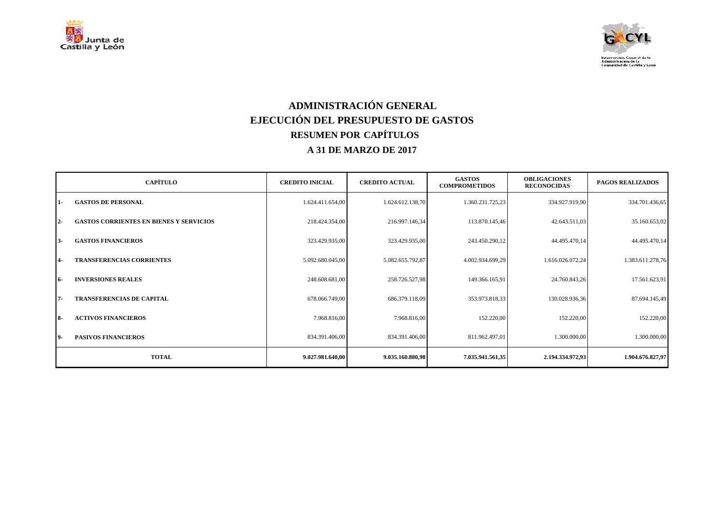



## **ADMINISTRACIÓN GENERAL EJECUCIÓN DEL PRESUPUESTO DE GASTOS RESUMEN POR CAPÍTULOS A 31 DE MARZO DE 2017**

|            | <b>CAPÍTULO</b>                                | <b>CREDITO INICIAL</b> | <b>CREDITO ACTUAL</b> | <b>GASTOS</b><br><b>COMPROMETIDOS</b> | <b>OBLIGACIONES</b><br><b>RECONOCIDAS</b> | <b>PAGOS REALIZADOS</b> |
|------------|------------------------------------------------|------------------------|-----------------------|---------------------------------------|-------------------------------------------|-------------------------|
| $1-$       | <b>GASTOS DE PERSONAL</b>                      | 1.624.411.654,00       | 1.624.612.138,70      | 1.360.231.725,23                      | 334.927.919,90                            | 334.701.436,65          |
| $2 -$      | <b>GASTOS CORRIENTES EN BIENES Y SERVICIOS</b> | 218.424.354,00         | 216.997.146,34        | 113.870.145,46                        | 42.643.511,03                             | 35.160.653,02           |
| $3-$       | <b>GASTOS FINANCIEROS</b>                      | 323.429.935,00         | 323.429.935,00        | 243.450.290,12                        | 44.495.470,14                             | 44.495.470,14           |
| $4-$       | <b>TRANSFERENCIAS CORRIENTES</b>               | 5.092.680.045,00       | 5.082.655.792,87      | 4.002.934.699,29                      | 1.616.026.072,24                          | 1.383.611.278,76        |
| 16-        | <b>INVERSIONES REALES</b>                      | 248.608.681,00         | 258.726.527,98        | 149.366.165,91                        | 24.760.843,26                             | 17.561.623,91           |
| $7 -$      | <b>TRANSFERENCIAS DE CAPITAL</b>               | 678.066.749,00         | 686.379.118,09        | 353.973.818,33                        | 130.028.936,36                            | 87.694.145,49           |
| <b>18-</b> | <b>ACTIVOS FINANCIEROS</b>                     | 7.968.816,00           | 7.968.816,00          | 152.220,00                            | 152.220,00                                | 152.220,00              |
| 19-        | <b>PASIVOS FINANCIEROS</b>                     | 834.391.406,00         | 834.391.406,00        | 811.962.497,01                        | 1.300.000,00                              | 1.300.000,00            |
|            | <b>TOTAL</b>                                   | 9.027.981.640,00       | 9.035.160.880,98      | 7.035.941.561,35                      | 2.194.334.972,93                          | 1.904.676.827,97        |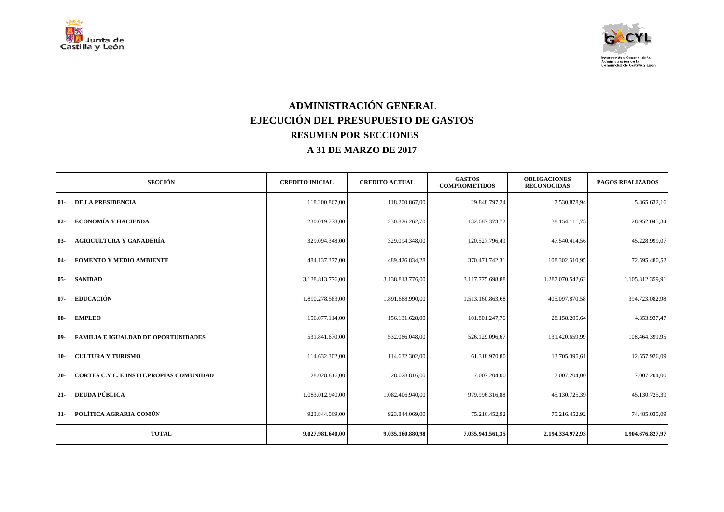



## **ADMINISTRACIÓN GENERAL EJECUCIÓN DEL PRESUPUESTO DE GASTOS RESUMEN POR SECCIONES A 31 DE MARZO DE 2017**

| <b>SECCIÓN</b>                                            | <b>CREDITO INICIAL</b> | <b>CREDITO ACTUAL</b> | <b>GASTOS</b><br><b>COMPROMETIDOS</b> | <b>OBLIGACIONES</b><br><b>RECONOCIDAS</b> | <b>PAGOS REALIZADOS</b> |
|-----------------------------------------------------------|------------------------|-----------------------|---------------------------------------|-------------------------------------------|-------------------------|
| <b>DE LA PRESIDENCIA</b><br>$01-$                         | 118.200.867,00         | 118.200.867,00        | 29.848.797,24                         | 7.530.878,94                              | 5.865.632,16            |
| <b>ECONOMÍA Y HACIENDA</b><br>$02-$                       | 230.019.778,00         | 230.826.262,70        | 132.687.373,72                        | 38.154.111,73                             | 28.952.045,34           |
| <b>AGRICULTURA Y GANADERÍA</b><br>$03 -$                  | 329.094.348,00         | 329.094.348,00        | 120.527.796,49                        | 47.540.414,56                             | 45.228.999,07           |
| <b>FOMENTO Y MEDIO AMBIENTE</b><br>-04                    | 484.137.377,00         | 489.426.834,28        | 370.471.742,31                        | 108.302.510,95                            | 72.595.480,52           |
| <b>SANIDAD</b><br>$05 -$                                  | 3.138.813.776,00       | 3.138.813.776,00      | 3.117.775.698,88                      | 1.287.070.542,62                          | 1.105.312.359,91        |
| <b>EDUCACIÓN</b><br><b>107-</b>                           | 1.890.278.583,00       | 1.891.688.990,00      | 1.513.160.863,68                      | 405.097.870,58                            | 394.723.082,98          |
| <b>EMPLEO</b><br>$08-$                                    | 156.077.114,00         | 156.131.628,00        | 101.801.247,76                        | 28.158.205,64                             | 4.353.937,47            |
| <b>FAMILIA E IGUALDAD DE OPORTUNIDADES</b><br><b>109-</b> | 531.841.670,00         | 532.066.048,00        | 526.129.096,67                        | 131.420.659,99                            | 108.464.399,95          |
| <b>CULTURA Y TURISMO</b><br>10-                           | 114.632.302,00         | 114.632.302,00        | 61.318.970,80                         | 13.705.395,61                             | 12.557.926,09           |
| <b>CORTES C.Y L. E INSTIT.PROPIAS COMUNIDAD</b><br>$20 -$ | 28.028.816,00          | 28.028.816,00         | 7.007.204,00                          | 7.007.204,00                              | 7.007.204,00            |
| <b>DEUDA PÚBLICA</b><br>$21 -$                            | 1.083.012.940,00       | 1.082.406.940,00      | 979.996.316,88                        | 45.130.725,39                             | 45.130.725,39           |
| POLÍTICA AGRARIA COMÚN<br>$31 -$                          | 923.844.069,00         | 923.844.069,00        | 75.216.452,92                         | 75.216.452,92                             | 74.485.035,09           |
| <b>TOTAL</b>                                              | 9.027.981.640,00       | 9.035.160.880,98      | 7.035.941.561,35                      | 2.194.334.972,93                          | 1.904.676.827,97        |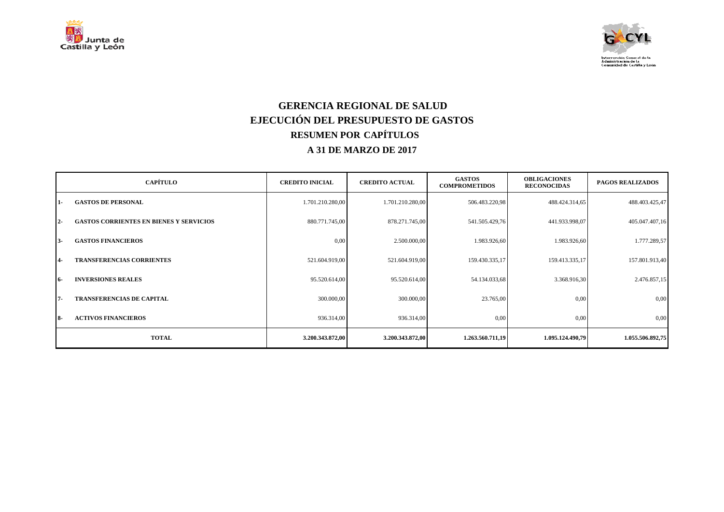



#### **GERENCIA REGIONAL DE SALUD EJECUCIÓN DEL PRESUPUESTO DE GASTOS RESUMEN POR CAPÍTULOS A 31 DE MARZO DE 2017**

|            | <b>CAPÍTULO</b>                                | <b>CREDITO INICIAL</b> | <b>CREDITO ACTUAL</b> | <b>GASTOS</b><br><b>COMPROMETIDOS</b> | <b>OBLIGACIONES</b><br><b>RECONOCIDAS</b> | <b>PAGOS REALIZADOS</b> |
|------------|------------------------------------------------|------------------------|-----------------------|---------------------------------------|-------------------------------------------|-------------------------|
| 1-         | <b>GASTOS DE PERSONAL</b>                      | 1.701.210.280,00       | 1.701.210.280,00      | 506.483.220,98                        | 488.424.314,65                            | 488.403.425,47          |
| $2 -$      | <b>GASTOS CORRIENTES EN BIENES Y SERVICIOS</b> | 880.771.745,00         | 878.271.745,00        | 541.505.429,76                        | 441.933.998,07                            | 405.047.407,16          |
| $3-$       | <b>GASTOS FINANCIEROS</b>                      | 0.00                   | 2.500.000,00          | 1.983.926,60                          | 1.983.926,60                              | 1.777.289,57            |
| $4-$       | <b>TRANSFERENCIAS CORRIENTES</b>               | 521.604.919,00         | 521.604.919,00        | 159.430.335,17                        | 159.413.335,17                            | 157.801.913,40          |
| 16-        | <b>INVERSIONES REALES</b>                      | 95.520.614,00          | 95.520.614,00         | 54.134.033,68                         | 3.368.916,30                              | 2.476.857,15            |
| $7 -$      | <b>TRANSFERENCIAS DE CAPITAL</b>               | 300.000,00             | 300.000,00            | 23.765,00                             | 0,00                                      | 0,00                    |
| <b>18-</b> | <b>ACTIVOS FINANCIEROS</b>                     | 936.314,00             | 936.314,00            | 0,00                                  | 0,00                                      | 0,00                    |
|            | <b>TOTAL</b>                                   | 3.200.343.872,00       | 3.200.343.872,00      | 1.263.560.711,19                      | 1.095.124.490,79                          | 1.055.506.892,75        |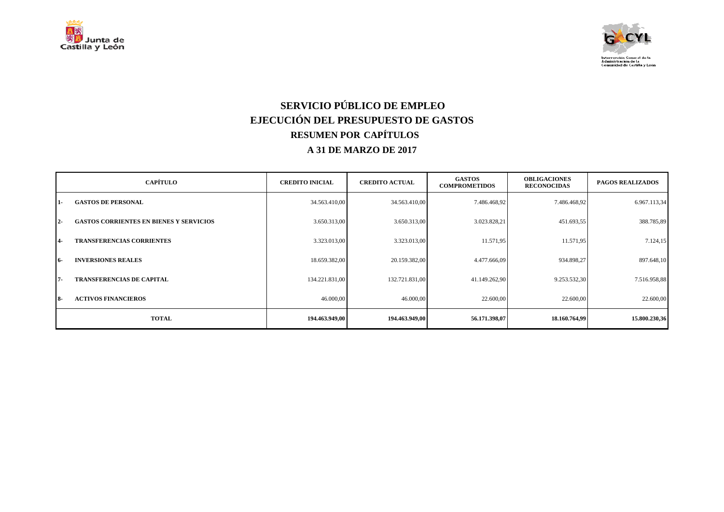



# **SERVICIO PÚBLICO DE EMPLEO EJECUCIÓN DEL PRESUPUESTO DE GASTOS RESUMEN POR CAPÍTULOS A 31 DE MARZO DE 2017**

|            | <b>CAPÍTULO</b>                                | <b>CREDITO INICIAL</b> | <b>CREDITO ACTUAL</b> | <b>GASTOS</b><br><b>COMPROMETIDOS</b> | <b>OBLIGACIONES</b><br><b>RECONOCIDAS</b> | <b>PAGOS REALIZADOS</b> |
|------------|------------------------------------------------|------------------------|-----------------------|---------------------------------------|-------------------------------------------|-------------------------|
| 1-         | <b>GASTOS DE PERSONAL</b>                      | 34.563.410,00          | 34.563.410,00         | 7.486.468,92                          | 7.486.468,92                              | 6.967.113,34            |
| $2 -$      | <b>GASTOS CORRIENTES EN BIENES Y SERVICIOS</b> | 3.650.313,00           | 3.650.313,00          | 3.023.828,21                          | 451.693,55                                | 388.785,89              |
| 14-        | <b>TRANSFERENCIAS CORRIENTES</b>               | 3.323.013,00           | 3.323.013,00          | 11.571,95                             | 11.571,95                                 | 7.124, 15               |
| $16-$      | <b>INVERSIONES REALES</b>                      | 18.659.382,00          | 20.159.382,00         | 4.477.666,09                          | 934.898,27                                | 897.648,10              |
| $7 -$      | <b>TRANSFERENCIAS DE CAPITAL</b>               | 134.221.831,00         | 132.721.831,00        | 41.149.262,90                         | 9.253.532,30                              | 7.516.958,88            |
| <b>18-</b> | <b>ACTIVOS FINANCIEROS</b>                     | 46.000,00              | 46.000,00             | 22.600,00                             | 22.600,00                                 | 22.600,00               |
|            | <b>TOTAL</b>                                   | 194.463.949.00         | 194.463.949,00        | 56.171.398,07                         | 18.160.764,99                             | 15.800.230,36           |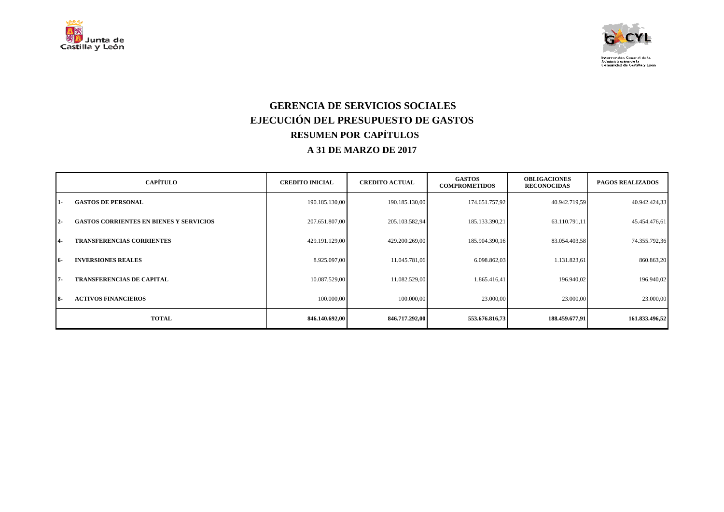



### **GERENCIA DE SERVICIOS SOCIALES EJECUCIÓN DEL PRESUPUESTO DE GASTOS RESUMEN POR CAPÍTULOS A 31 DE MARZO DE 2017**

|                | <b>CAPÍTULO</b>                                | <b>CREDITO INICIAL</b> | <b>CREDITO ACTUAL</b> | <b>GASTOS</b><br><b>COMPROMETIDOS</b> | <b>OBLIGACIONES</b><br><b>RECONOCIDAS</b> | <b>PAGOS REALIZADOS</b> |
|----------------|------------------------------------------------|------------------------|-----------------------|---------------------------------------|-------------------------------------------|-------------------------|
| $1 -$          | <b>GASTOS DE PERSONAL</b>                      | 190.185.130,00         | 190.185.130,00        | 174.651.757,92                        | 40.942.719,59                             | 40.942.424,33           |
| $2 -$          | <b>GASTOS CORRIENTES EN BIENES Y SERVICIOS</b> | 207.651.807,00         | 205.103.582,94        | 185.133.390,21                        | 63.110.791,11                             | 45.454.476,61           |
| $\overline{4}$ | <b>TRANSFERENCIAS CORRIENTES</b>               | 429.191.129,00         | 429.200.269,00        | 185.904.390,16                        | 83.054.403,58                             | 74.355.792,36           |
| <b>16-</b>     | <b>INVERSIONES REALES</b>                      | 8.925.097,00           | 11.045.781,06         | 6.098.862,03                          | 1.131.823,61                              | 860.863,20              |
| 17-            | <b>TRANSFERENCIAS DE CAPITAL</b>               | 10.087.529,00          | 11.082.529,00         | 1.865.416,41                          | 196.940,02                                | 196.940,02              |
| $18-$          | <b>ACTIVOS FINANCIEROS</b>                     | 100.000,00             | 100.000,00            | 23.000,00                             | 23.000,00                                 | 23.000,00               |
|                | <b>TOTAL</b>                                   | 846.140.692,00         | 846.717.292,00        | 553.676.816,73                        | 188.459.677,91                            | 161.833.496,52          |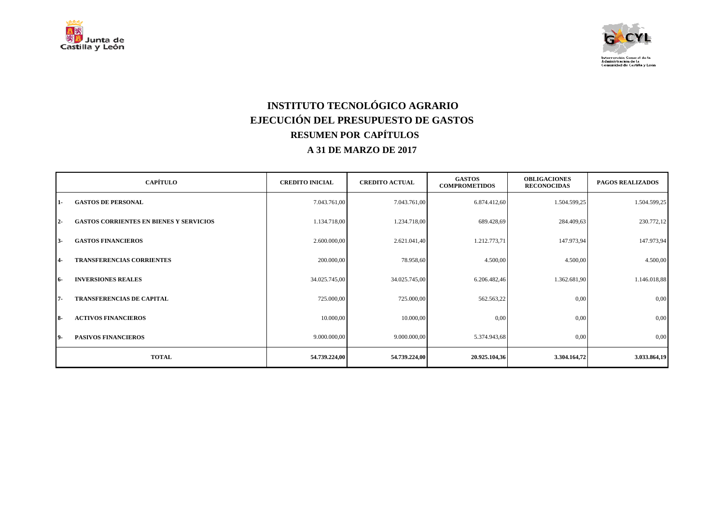



# **INSTITUTO TECNOLÓGICO AGRARIO EJECUCIÓN DEL PRESUPUESTO DE GASTOS RESUMEN POR CAPÍTULOS A 31 DE MARZO DE 2017**

|           | <b>CAPÍTULO</b>                                | <b>CREDITO INICIAL</b> | <b>CREDITO ACTUAL</b> | <b>GASTOS</b><br><b>COMPROMETIDOS</b> | <b>OBLIGACIONES</b><br><b>RECONOCIDAS</b> | <b>PAGOS REALIZADOS</b> |
|-----------|------------------------------------------------|------------------------|-----------------------|---------------------------------------|-------------------------------------------|-------------------------|
| 1-        | <b>GASTOS DE PERSONAL</b>                      | 7.043.761,00           | 7.043.761,00          | 6.874.412,60                          | 1.504.599,25                              | 1.504.599,25            |
| $2 -$     | <b>GASTOS CORRIENTES EN BIENES Y SERVICIOS</b> | 1.134.718,00           | 1.234.718,00          | 689.428,69                            | 284.409,63                                | 230.772,12              |
| $3-$      | <b>GASTOS FINANCIEROS</b>                      | 2.600.000,00           | 2.621.041,40          | 1.212.773,71                          | 147.973,94                                | 147.973,94              |
| $4-$      | <b>TRANSFERENCIAS CORRIENTES</b>               | 200.000,00             | 78.958,60             | 4.500,00                              | 4.500,00                                  | 4.500,00                |
| 16-       | <b>INVERSIONES REALES</b>                      | 34.025.745,00          | 34.025.745,00         | 6.206.482,46                          | 1.362.681,90                              | 1.146.018,88            |
| $7 -$     | <b>TRANSFERENCIAS DE CAPITAL</b>               | 725.000,00             | 725.000,00            | 562.563,22                            | 0,00                                      | 0,00                    |
| <b>8-</b> | <b>ACTIVOS FINANCIEROS</b>                     | 10.000,00              | 10.000,00             | 0,00                                  | 0,00                                      | 0,00                    |
| 19-       | <b>PASIVOS FINANCIEROS</b>                     | 9.000.000,00           | 9.000.000,00          | 5.374.943,68                          | 0,00                                      | 0,00                    |
|           | <b>TOTAL</b>                                   | 54.739.224,00          | 54.739.224,00         | 20.925.104,36                         | 3.304.164,72                              | 3.033.864,19            |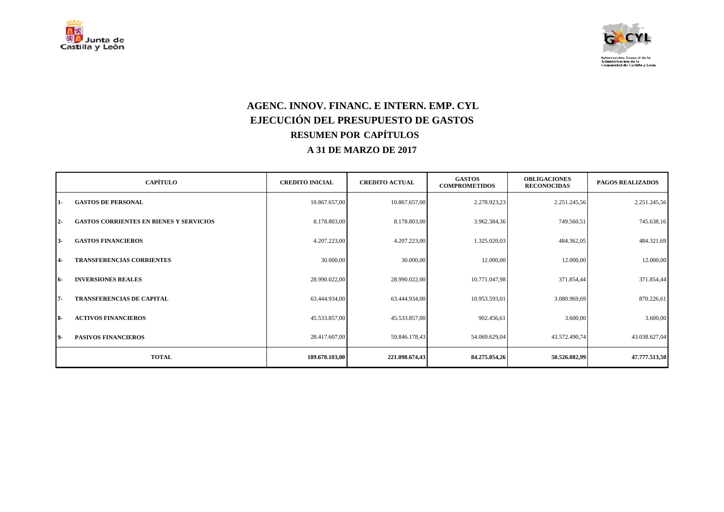



## **AGENC. INNOV. FINANC. E INTERN. EMP. CYL EJECUCIÓN DEL PRESUPUESTO DE GASTOS RESUMEN POR CAPÍTULOS A 31 DE MARZO DE 2017**

|           | <b>CAPÍTULO</b>                                | <b>CREDITO INICIAL</b> | <b>CREDITO ACTUAL</b> | <b>GASTOS</b><br><b>COMPROMETIDOS</b> | <b>OBLIGACIONES</b><br><b>RECONOCIDAS</b> | <b>PAGOS REALIZADOS</b> |
|-----------|------------------------------------------------|------------------------|-----------------------|---------------------------------------|-------------------------------------------|-------------------------|
| 1-        | <b>GASTOS DE PERSONAL</b>                      | 10.867.657,00          | 10.867.657,00         | 2.278.923,23                          | 2.251.245,56                              | 2.251.245,56            |
| $2 -$     | <b>GASTOS CORRIENTES EN BIENES Y SERVICIOS</b> | 8.178.803,00           | 8.178.803,00          | 3.962.384,36                          | 749.560,51                                | 745.638,16              |
| $3 -$     | <b>GASTOS FINANCIEROS</b>                      | 4.207.223,00           | 4.207.223,00          | 1.325.020,03                          | 484.362,05                                | 484.321,69              |
| $4-$      | <b>TRANSFERENCIAS CORRIENTES</b>               | 30.000,00              | 30.000,00             | 12.000,00                             | 12.000,00                                 | 12.000,00               |
| 16-       | <b>INVERSIONES REALES</b>                      | 28.990.022,00          | 28.990.022,00         | 10.771.047,98                         | 371.854,44                                | 371.854,44              |
| $7 -$     | <b>TRANSFERENCIAS DE CAPITAL</b>               | 63.444.934,00          | 63.444.934,00         | 10.953.593,01                         | 3.080.969,69                              | 870.226,61              |
| <b>8-</b> | <b>ACTIVOS FINANCIEROS</b>                     | 45.533.857,00          | 45.533.857,00         | 902.456,61                            | 3.600,00                                  | 3.600,00                |
| 19-       | <b>PASIVOS FINANCIEROS</b>                     | 28.417.607,00          | 59.846.178,43         | 54.069.629,04                         | 43.572.490,74                             | 43.038.627,04           |
|           | <b>TOTAL</b>                                   | 189.670.103,00         | 221.098.674,43        | 84.275.054,26                         | 50.526.082,99                             | 47.777.513,50           |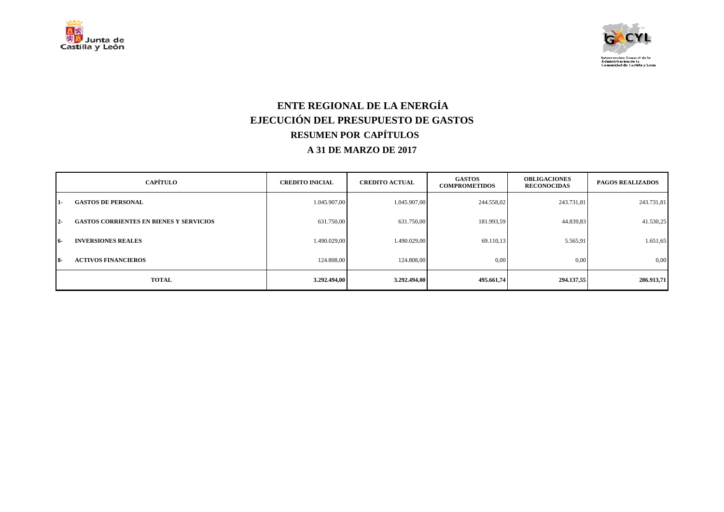



## **ENTE REGIONAL DE LA ENERGÍA EJECUCIÓN DEL PRESUPUESTO DE GASTOS RESUMEN POR CAPÍTULOS A 31 DE MARZO DE 2017**

|       | <b>CAPÍTULO</b>                                | <b>CREDITO INICIAL</b> | <b>CREDITO ACTUAL</b> | <b>GASTOS</b><br><b>COMPROMETIDOS</b> | <b>OBLIGACIONES</b><br><b>RECONOCIDAS</b> | <b>PAGOS REALIZADOS</b> |
|-------|------------------------------------------------|------------------------|-----------------------|---------------------------------------|-------------------------------------------|-------------------------|
| 11-   | <b>GASTOS DE PERSONAL</b>                      | 1.045.907,00           | 1.045.907,00          | 244.558,02                            | 243.731,81                                | 243.731,81              |
| $12-$ | <b>GASTOS CORRIENTES EN BIENES Y SERVICIOS</b> | 631.750,00             | 631.750,00            | 181.993,59                            | 44.839,83                                 | 41.530,25               |
| -16   | <b>INVERSIONES REALES</b>                      | 1.490.029.00           | 1.490.029,00          | 69.110,13                             | 5.565,91                                  | 1.651,65                |
| $18-$ | <b>ACTIVOS FINANCIEROS</b>                     | 124.808,00             | 124.808,00            | 0,00                                  | 0,00                                      | 0,00                    |
|       | <b>TOTAL</b>                                   | 3.292.494,00           | 3.292.494,00          | 495.661,74                            | 294.137,55                                | 286.913,71              |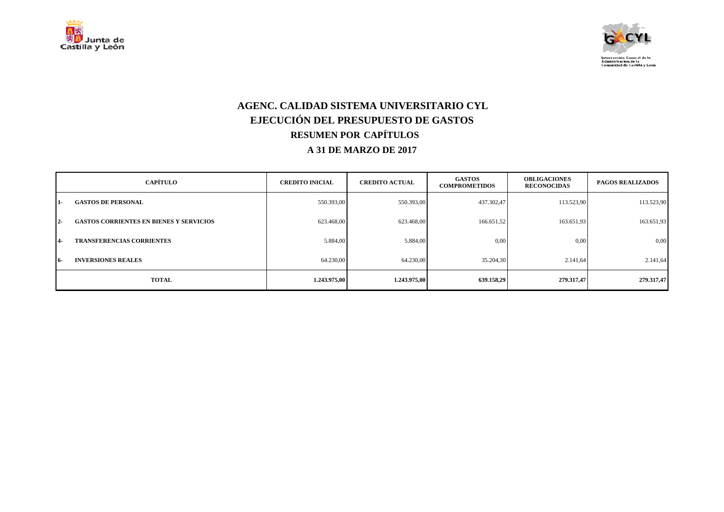



### **AGENC. CALIDAD SISTEMA UNIVERSITARIO CYL EJECUCIÓN DEL PRESUPUESTO DE GASTOS RESUMEN POR CAPÍTULOS A 31 DE MARZO DE 2017**

|            | <b>CAPÍTULO</b>                                | <b>CREDITO INICIAL</b> | <b>CREDITO ACTUAL</b> | <b>GASTOS</b><br><b>COMPROMETIDOS</b> | <b>OBLIGACIONES</b><br><b>RECONOCIDAS</b> | <b>PAGOS REALIZADOS</b> |
|------------|------------------------------------------------|------------------------|-----------------------|---------------------------------------|-------------------------------------------|-------------------------|
| 11-        | <b>GASTOS DE PERSONAL</b>                      | 550.393,00             | 550.393,00            | 437.302,47                            | 113.523,90                                | 113.523,90              |
| $12-$      | <b>GASTOS CORRIENTES EN BIENES Y SERVICIOS</b> | 623.468.00             | 623.468,00            | 166.651,52                            | 163.651,93                                | 163.651,93              |
| <b>14-</b> | <b>TRANSFERENCIAS CORRIENTES</b>               | 5.884,00               | 5.884,00              | 0,00                                  | 0,00                                      | 0,00                    |
| 16-        | <b>INVERSIONES REALES</b>                      | 64.230,00              | 64.230,00             | 35.204.30                             | 2.141.64                                  | 2.141,64                |
|            | <b>TOTAL</b>                                   | 1.243.975,00           | 1.243.975,00          | 639.158,29                            | 279.317,47                                | 279.317,47              |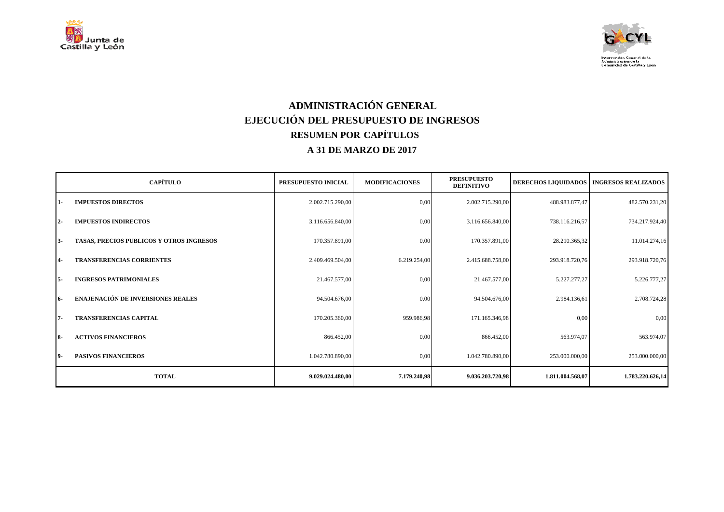



## **ADMINISTRACIÓN GENERAL EJECUCIÓN DEL PRESUPUESTO DE INGRESOS RESUMEN POR CAPÍTULOS A 31 DE MARZO DE 2017**

|      | <b>CAPÍTULO</b>                          | PRESUPUESTO INICIAL | <b>MODIFICACIONES</b> | <b>PRESUPUESTO</b><br><b>DEFINITIVO</b> |                  | DERECHOS LIQUIDADOS   INGRESOS REALIZADOS |
|------|------------------------------------------|---------------------|-----------------------|-----------------------------------------|------------------|-------------------------------------------|
| 11-  | <b>IMPUESTOS DIRECTOS</b>                | 2.002.715.290,00    | 0,00                  | 2.002.715.290,00                        | 488.983.877,47   | 482.570.231,20                            |
| 12-  | <b>IMPUESTOS INDIRECTOS</b>              | 3.116.656.840,00    | 0,00                  | 3.116.656.840,00                        | 738.116.216,57   | 734.217.924,40                            |
| 13-  | TASAS, PRECIOS PUBLICOS Y OTROS INGRESOS | 170.357.891,00      | 0,00                  | 170.357.891,00                          | 28.210.365,32    | 11.014.274,16                             |
| 4-   | <b>TRANSFERENCIAS CORRIENTES</b>         | 2.409.469.504,00    | 6.219.254,00          | 2.415.688.758,00                        | 293.918.720,76   | 293.918.720,76                            |
| I 5- | <b>INGRESOS PATRIMONIALES</b>            | 21.467.577,00       | 0,00                  | 21.467.577,00                           | 5.227.277,27     | 5.226.777,27                              |
| 16-  | <b>ENAJENACIÓN DE INVERSIONES REALES</b> | 94.504.676,00       | 0,00                  | 94.504.676,00                           | 2.984.136,61     | 2.708.724,28                              |
| 17-  | <b>TRANSFERENCIAS CAPITAL</b>            | 170.205.360,00      | 959.986,98            | 171.165.346,98                          | 0,00             | 0,00                                      |
| l 8- | <b>ACTIVOS FINANCIEROS</b>               | 866.452,00          | 0,00                  | 866.452,00                              | 563.974,07       | 563.974,07                                |
| 19-  | <b>PASIVOS FINANCIEROS</b>               | 1.042.780.890,00    | 0,00                  | 1.042.780.890,00                        | 253.000.000,00   | 253.000.000,00                            |
|      | <b>TOTAL</b>                             | 9.029.024.480,00    | 7.179.240,98          | 9.036.203.720,98                        | 1.811.004.568,07 | 1.783.220.626,14                          |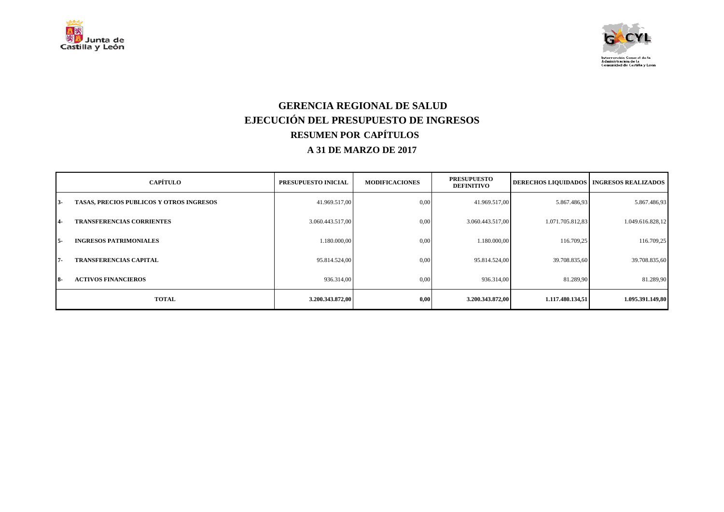



### **GERENCIA REGIONAL DE SALUD EJECUCIÓN DEL PRESUPUESTO DE INGRESOS RESUMEN POR CAPÍTULOS A 31 DE MARZO DE 2017**

|                | <b>CAPÍTULO</b>                                 | PRESUPUESTO INICIAL | <b>MODIFICACIONES</b> | <b>PRESUPUESTO</b><br><b>DEFINITIVO</b> | <b>DERECHOS LIQUIDADOS   INGRESOS REALIZADOS</b> |                  |
|----------------|-------------------------------------------------|---------------------|-----------------------|-----------------------------------------|--------------------------------------------------|------------------|
| $13-$          | <b>TASAS, PRECIOS PUBLICOS Y OTROS INGRESOS</b> | 41.969.517,00       | 0.00                  | 41.969.517,00                           | 5.867.486,93                                     | 5.867.486,93     |
| $\overline{4}$ | <b>TRANSFERENCIAS CORRIENTES</b>                | 3.060.443.517,00    | 0.00                  | 3.060.443.517,00                        | 1.071.705.812,83                                 | 1.049.616.828,12 |
| $15-$          | <b>INGRESOS PATRIMONIALES</b>                   | 1.180.000.00        | 0.00                  | 1.180.000.00                            | 116.709,25                                       | 116.709,25       |
| 17-            | <b>TRANSFERENCIAS CAPITAL</b>                   | 95.814.524,00       | 0.00                  | 95.814.524,00                           | 39.708.835,60                                    | 39.708.835,60    |
| <b>18-</b>     | <b>ACTIVOS FINANCIEROS</b>                      | 936.314,00          | 0,00                  | 936.314,00                              | 81.289,90                                        | 81.289,90        |
|                | <b>TOTAL</b>                                    | 3.200.343.872,00    | 0.00                  | 3.200.343.872,00                        | 1.117.480.134,51                                 | 1.095.391.149,80 |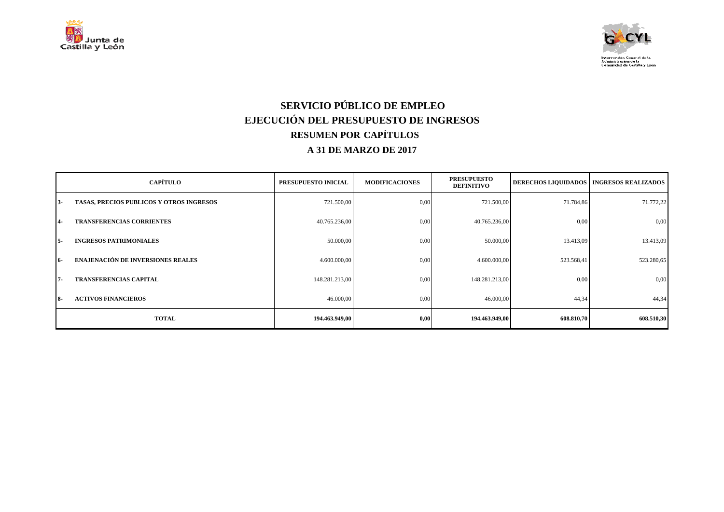



# **SERVICIO PÚBLICO DE EMPLEO EJECUCIÓN DEL PRESUPUESTO DE INGRESOS RESUMEN POR CAPÍTULOS A 31 DE MARZO DE 2017**

|            | <b>CAPÍTULO</b>                          | PRESUPUESTO INICIAL | <b>MODIFICACIONES</b> | <b>PRESUPUESTO</b><br><b>DEFINITIVO</b> | <b>DERECHOS LIQUIDADOS   INGRESOS REALIZADOS</b> |            |
|------------|------------------------------------------|---------------------|-----------------------|-----------------------------------------|--------------------------------------------------|------------|
| $3 -$      | TASAS, PRECIOS PUBLICOS Y OTROS INGRESOS | 721.500,00          | 0,00                  | 721.500,00                              | 71.784,86                                        | 71.772,22  |
| 14-        | <b>TRANSFERENCIAS CORRIENTES</b>         | 40.765.236,00       | 0,00                  | 40.765.236,00                           | 0,00                                             | 0,00       |
| $5-$       | <b>INGRESOS PATRIMONIALES</b>            | 50.000,00           | 0,00                  | 50.000,00                               | 13.413,09                                        | 13.413,09  |
| $16-$      | <b>ENAJENACIÓN DE INVERSIONES REALES</b> | 4.600.000,00        | 0,00                  | 4.600.000,00                            | 523.568,41                                       | 523.280,65 |
| $7 -$      | <b>TRANSFERENCIAS CAPITAL</b>            | 148.281.213,00      | 0,00                  | 148.281.213,00                          | 0,00                                             | 0,00       |
| <b>18-</b> | <b>ACTIVOS FINANCIEROS</b>               | 46.000,00           | 0,00                  | 46.000,00                               | 44,34                                            | 44,34      |
|            | <b>TOTAL</b>                             | 194.463.949,00      | 0,00                  | 194.463.949,00                          | 608.810,70                                       | 608.510,30 |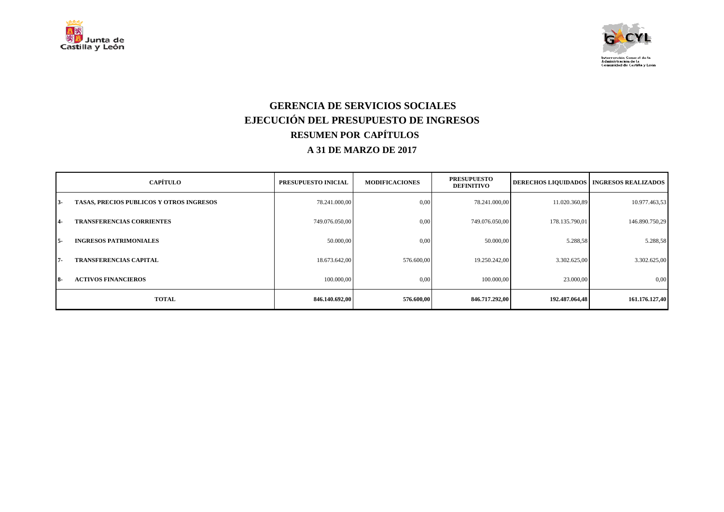



### **GERENCIA DE SERVICIOS SOCIALES EJECUCIÓN DEL PRESUPUESTO DE INGRESOS RESUMEN POR CAPÍTULOS A 31 DE MARZO DE 2017**

|                | <b>CAPÍTULO</b>                                 | PRESUPUESTO INICIAL | <b>MODIFICACIONES</b> | <b>PRESUPUESTO</b><br><b>DEFINITIVO</b> |                | <b>DERECHOS LIQUIDADOS   INGRESOS REALIZADOS</b> |
|----------------|-------------------------------------------------|---------------------|-----------------------|-----------------------------------------|----------------|--------------------------------------------------|
| $13-$          | <b>TASAS, PRECIOS PUBLICOS Y OTROS INGRESOS</b> | 78.241.000,00       | 0.00                  | 78.241.000,00                           | 11.020.360,89  | 10.977.463,53                                    |
| $\overline{4}$ | <b>TRANSFERENCIAS CORRIENTES</b>                | 749.076.050,00      | 0.00                  | 749.076.050,00                          | 178.135.790,01 | 146.890.750,29                                   |
| $15-$          | <b>INGRESOS PATRIMONIALES</b>                   | 50.000,00           | 0.00                  | 50.000,00                               | 5.288,58       | 5.288,58                                         |
| 17-            | <b>TRANSFERENCIAS CAPITAL</b>                   | 18.673.642,00       | 576,600,00            | 19.250.242.00                           | 3.302.625,00   | 3.302.625,00                                     |
| <b>18-</b>     | <b>ACTIVOS FINANCIEROS</b>                      | 100.000,00          | 0,00                  | 100.000,00                              | 23.000,00      | 0,00                                             |
|                | <b>TOTAL</b>                                    | 846.140.692,00      | 576.600,00            | 846.717.292,00                          | 192.487.064,48 | 161.176.127,40                                   |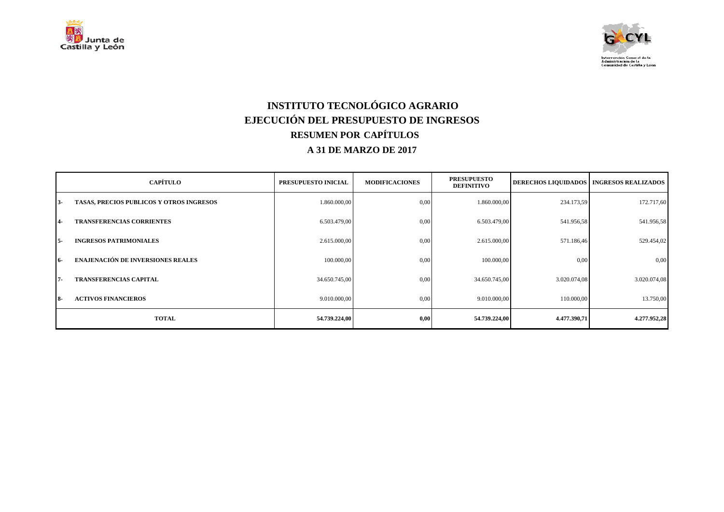



# **INSTITUTO TECNOLÓGICO AGRARIO EJECUCIÓN DEL PRESUPUESTO DE INGRESOS RESUMEN POR CAPÍTULOS A 31 DE MARZO DE 2017**

|            | <b>CAPÍTULO</b>                          | PRESUPUESTO INICIAL | <b>MODIFICACIONES</b> | <b>PRESUPUESTO</b><br><b>DEFINITIVO</b> |              | <b>DERECHOS LIQUIDADOS   INGRESOS REALIZADOS  </b> |
|------------|------------------------------------------|---------------------|-----------------------|-----------------------------------------|--------------|----------------------------------------------------|
| $3-$       | TASAS, PRECIOS PUBLICOS Y OTROS INGRESOS | 1.860.000,00        | 0,00                  | 1.860.000,00                            | 234.173,59   | 172.717,60                                         |
| $4-$       | <b>TRANSFERENCIAS CORRIENTES</b>         | 6.503.479,00        | 0,00                  | 6.503.479,00                            | 541.956,58   | 541.956,58                                         |
| $5-$       | <b>INGRESOS PATRIMONIALES</b>            | 2.615.000,00        | 0,00                  | 2.615.000,00                            | 571.186,46   | 529.454,02                                         |
| 16-        | <b>ENAJENACIÓN DE INVERSIONES REALES</b> | 100.000,00          | 0,00                  | 100.000,00                              | 0,00         | 0,00                                               |
| $7 -$      | <b>TRANSFERENCIAS CAPITAL</b>            | 34.650.745,00       | 0,00                  | 34.650.745,00                           | 3.020.074,08 | 3.020.074,08                                       |
| <b>18-</b> | <b>ACTIVOS FINANCIEROS</b>               | 9.010.000,00        | 0,00                  | 9.010.000,00                            | 110.000,00   | 13.750,00                                          |
|            | <b>TOTAL</b>                             | 54.739.224,00       | 0,00                  | 54.739.224,00                           | 4.477.390,71 | 4.277.952,28                                       |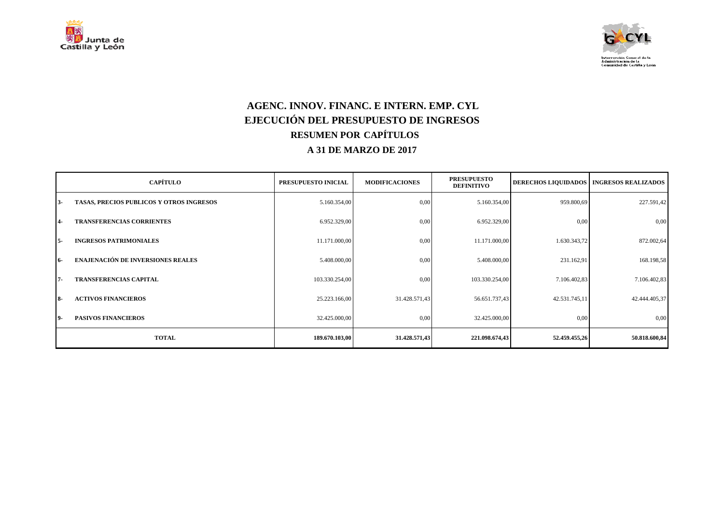



## **AGENC. INNOV. FINANC. E INTERN. EMP. CYL EJECUCIÓN DEL PRESUPUESTO DE INGRESOS RESUMEN POR CAPÍTULOS A 31 DE MARZO DE 2017**

|           | <b>CAPÍTULO</b>                          | PRESUPUESTO INICIAL | <b>MODIFICACIONES</b> | <b>PRESUPUESTO</b><br><b>DEFINITIVO</b> |               | DERECHOS LIQUIDADOS   INGRESOS REALIZADOS |
|-----------|------------------------------------------|---------------------|-----------------------|-----------------------------------------|---------------|-------------------------------------------|
| $3-$      | TASAS, PRECIOS PUBLICOS Y OTROS INGRESOS | 5.160.354,00        | 0,00                  | 5.160.354,00                            | 959.800,69    | 227.591,42                                |
| <b>4-</b> | <b>TRANSFERENCIAS CORRIENTES</b>         | 6.952.329,00        | 0,00                  | 6.952.329,00                            | 0.00          | 0,00                                      |
| - 5       | <b>INGRESOS PATRIMONIALES</b>            | 11.171.000,00       | 0,00                  | 11.171.000,00                           | 1.630.343,72  | 872.002,64                                |
| 16-       | <b>ENAJENACIÓN DE INVERSIONES REALES</b> | 5.408.000,00        | 0,00                  | 5.408.000,00                            | 231.162,91    | 168.198,58                                |
| 7-        | <b>TRANSFERENCIAS CAPITAL</b>            | 103.330.254,00      | 0,00                  | 103.330.254,00                          | 7.106.402,83  | 7.106.402,83                              |
| <b>8-</b> | <b>ACTIVOS FINANCIEROS</b>               | 25.223.166,00       | 31.428.571,43         | 56.651.737,43                           | 42.531.745,11 | 42.444.405,37                             |
| 19-       | <b>PASIVOS FINANCIEROS</b>               | 32.425.000,00       | 0,00                  | 32.425.000,00                           | 0,00          | 0,00                                      |
|           | <b>TOTAL</b>                             | 189.670.103,00      | 31.428.571,43         | 221.098.674,43                          | 52.459.455,26 | 50.818.600,84                             |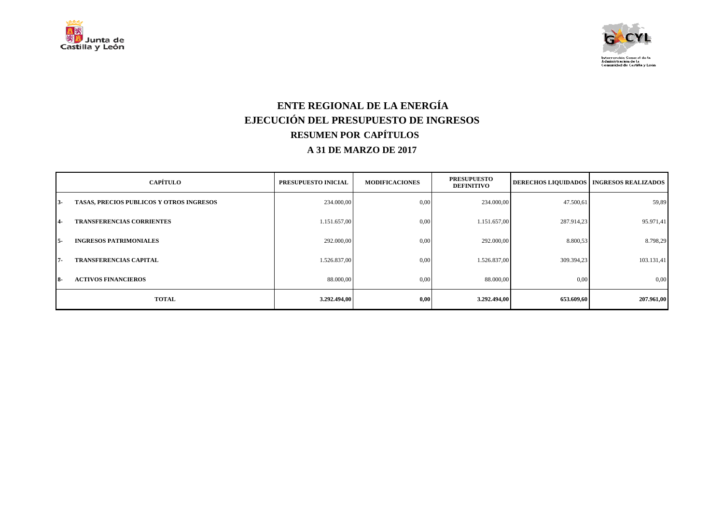



## **ENTE REGIONAL DE LA ENERGÍA EJECUCIÓN DEL PRESUPUESTO DE INGRESOS RESUMEN POR CAPÍTULOS A 31 DE MARZO DE 2017**

|            | <b>CAPÍTULO</b>                                 | PRESUPUESTO INICIAL | <b>MODIFICACIONES</b> | <b>PRESUPUESTO</b><br><b>DEFINITIVO</b> | <b>DERECHOS LIQUIDADOS</b> | <b>INGRESOS REALIZADOS</b> |
|------------|-------------------------------------------------|---------------------|-----------------------|-----------------------------------------|----------------------------|----------------------------|
| $13-$      | <b>TASAS, PRECIOS PUBLICOS Y OTROS INGRESOS</b> | 234.000,00          | 0,00                  | 234.000,00                              | 47.500,61                  | 59,89                      |
| 14-        | <b>TRANSFERENCIAS CORRIENTES</b>                | 1.151.657,00        | 0,00                  | 1.151.657,00                            | 287.914,23                 | 95.971,41                  |
| 15-        | <b>INGRESOS PATRIMONIALES</b>                   | 292,000,00          | 0,00                  | 292.000,00                              | 8.800,53                   | 8.798,29                   |
| 17-        | <b>TRANSFERENCIAS CAPITAL</b>                   | 1.526.837,00        | 0,00                  | 1.526.837,00                            | 309.394,23                 | 103.131,41                 |
| <b>18-</b> | <b>ACTIVOS FINANCIEROS</b>                      | 88.000,00           | 0,00                  | 88.000,00                               | 0,00                       | 0,00                       |
|            | <b>TOTAL</b>                                    | 3.292.494,00        | 0,00                  | 3.292.494,00                            | 653.609,60                 | 207.961,00                 |